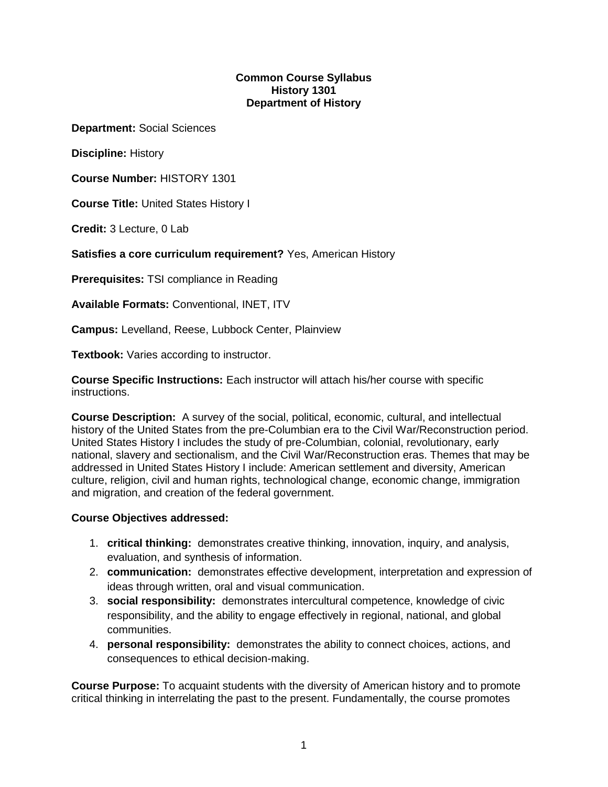#### **Common Course Syllabus History 1301 Department of History**

**Department:** Social Sciences

**Discipline:** History

**Course Number:** HISTORY 1301

**Course Title:** United States History I

**Credit:** 3 Lecture, 0 Lab

**Satisfies a core curriculum requirement?** Yes, American History

**Prerequisites:** TSI compliance in Reading

**Available Formats:** Conventional, INET, ITV

**Campus:** Levelland, Reese, Lubbock Center, Plainview

**Textbook:** Varies according to instructor.

**Course Specific Instructions:** Each instructor will attach his/her course with specific instructions.

**Course Description:** A survey of the social, political, economic, cultural, and intellectual history of the United States from the pre-Columbian era to the Civil War/Reconstruction period. United States History I includes the study of pre-Columbian, colonial, revolutionary, early national, slavery and sectionalism, and the Civil War/Reconstruction eras. Themes that may be addressed in United States History I include: American settlement and diversity, American culture, religion, civil and human rights, technological change, economic change, immigration and migration, and creation of the federal government.

#### **Course Objectives addressed:**

- 1. **critical thinking:** demonstrates creative thinking, innovation, inquiry, and analysis, evaluation, and synthesis of information.
- 2. **communication:** demonstrates effective development, interpretation and expression of ideas through written, oral and visual communication.
- 3. **social responsibility:** demonstrates intercultural competence, knowledge of civic responsibility, and the ability to engage effectively in regional, national, and global communities.
- 4. **personal responsibility:** demonstrates the ability to connect choices, actions, and consequences to ethical decision-making.

**Course Purpose:** To acquaint students with the diversity of American history and to promote critical thinking in interrelating the past to the present. Fundamentally, the course promotes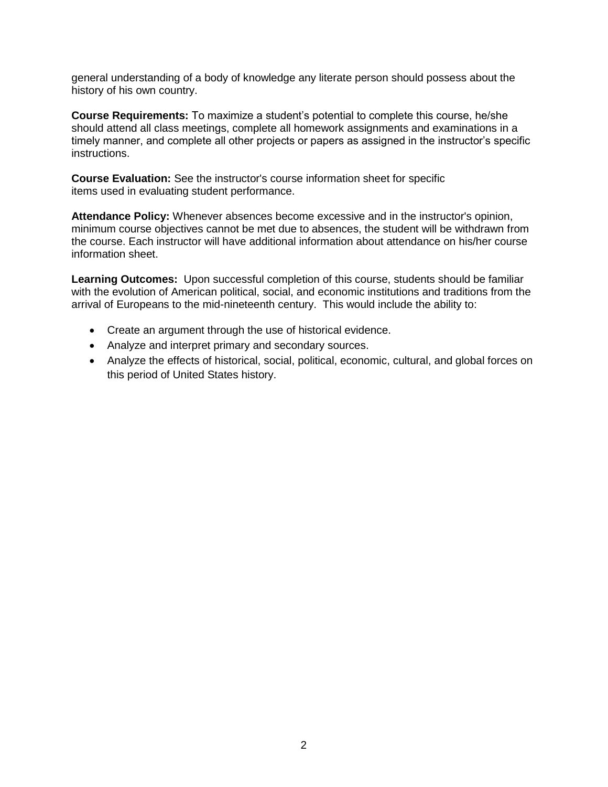general understanding of a body of knowledge any literate person should possess about the history of his own country.

**Course Requirements:** To maximize a student's potential to complete this course, he/she should attend all class meetings, complete all homework assignments and examinations in a timely manner, and complete all other projects or papers as assigned in the instructor's specific instructions.

**Course Evaluation:** See the instructor's course information sheet for specific items used in evaluating student performance.

**Attendance Policy:** Whenever absences become excessive and in the instructor's opinion, minimum course objectives cannot be met due to absences, the student will be withdrawn from the course. Each instructor will have additional information about attendance on his/her course information sheet.

**Learning Outcomes:** Upon successful completion of this course, students should be familiar with the evolution of American political, social, and economic institutions and traditions from the arrival of Europeans to the mid-nineteenth century. This would include the ability to:

- Create an argument through the use of historical evidence.
- Analyze and interpret primary and secondary sources.
- Analyze the effects of historical, social, political, economic, cultural, and global forces on this period of United States history.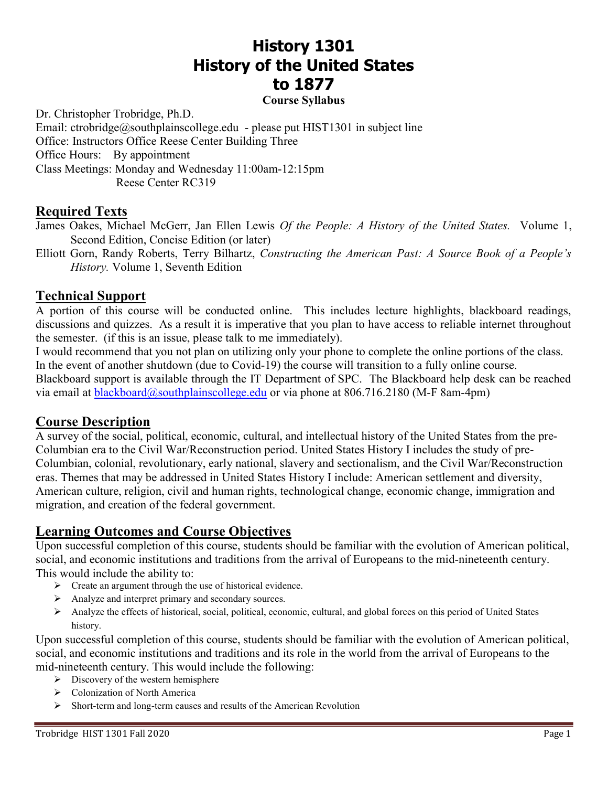# History 1301 History of the United States to 1877

#### Course Syllabus

Dr. Christopher Trobridge, Ph.D. Email: ctrobridge@southplainscollege.edu - please put HIST1301 in subject line Office: Instructors Office Reese Center Building Three Office Hours: By appointment Class Meetings: Monday and Wednesday 11:00am-12:15pm Reese Center RC319

#### Required Texts

- James Oakes, Michael McGerr, Jan Ellen Lewis Of the People: A History of the United States. Volume 1, Second Edition, Concise Edition (or later)
- Elliott Gorn, Randy Roberts, Terry Bilhartz, Constructing the American Past: A Source Book of a People's History. Volume 1, Seventh Edition

#### Technical Support

A portion of this course will be conducted online. This includes lecture highlights, blackboard readings, discussions and quizzes. As a result it is imperative that you plan to have access to reliable internet throughout the semester. (if this is an issue, please talk to me immediately).

I would recommend that you not plan on utilizing only your phone to complete the online portions of the class. In the event of another shutdown (due to Covid-19) the course will transition to a fully online course. Blackboard support is available through the IT Department of SPC. The Blackboard help desk can be reached via email at blackboard@southplainscollege.edu or via phone at 806.716.2180 (M-F 8am-4pm)

#### Course Description

A survey of the social, political, economic, cultural, and intellectual history of the United States from the pre-Columbian era to the Civil War/Reconstruction period. United States History I includes the study of pre-Columbian, colonial, revolutionary, early national, slavery and sectionalism, and the Civil War/Reconstruction eras. Themes that may be addressed in United States History I include: American settlement and diversity, American culture, religion, civil and human rights, technological change, economic change, immigration and migration, and creation of the federal government.

### Learning Outcomes and Course Objectives

Upon successful completion of this course, students should be familiar with the evolution of American political, social, and economic institutions and traditions from the arrival of Europeans to the mid-nineteenth century. This would include the ability to:

- $\triangleright$  Create an argument through the use of historical evidence.
- Analyze and interpret primary and secondary sources.
- Analyze the effects of historical, social, political, economic, cultural, and global forces on this period of United States history.

Upon successful completion of this course, students should be familiar with the evolution of American political, social, and economic institutions and traditions and its role in the world from the arrival of Europeans to the mid-nineteenth century. This would include the following:

- $\triangleright$  Discovery of the western hemisphere
- Colonization of North America
- $\triangleright$  Short-term and long-term causes and results of the American Revolution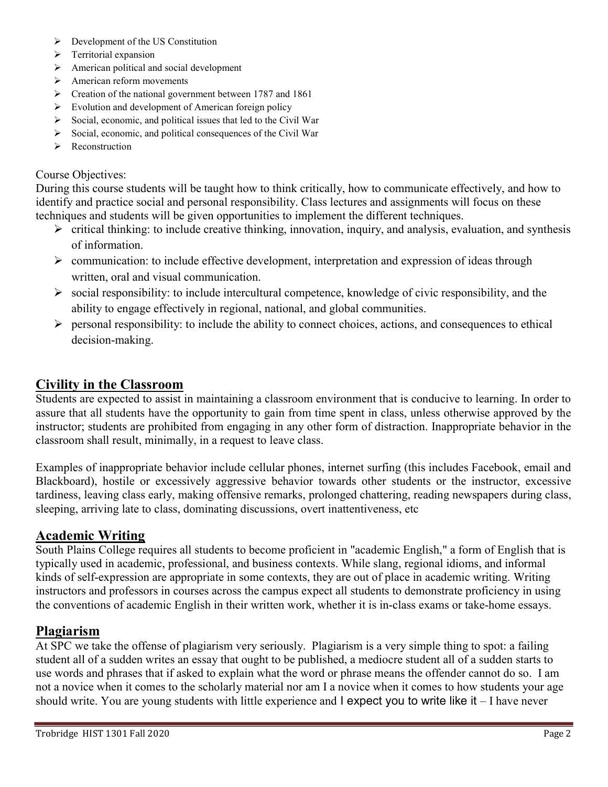- $\triangleright$  Development of the US Constitution
- $\triangleright$  Territorial expansion
- $\triangleright$  American political and social development
- $\triangleright$  American reform movements
- **Exercise 1787** and 1861 Preational government between 1787 and 1861
- $\triangleright$  Evolution and development of American foreign policy
- $\triangleright$  Social, economic, and political issues that led to the Civil War
- $\triangleright$  Social, economic, and political consequences of the Civil War
- $\triangleright$  Reconstruction

#### Course Objectives:

During this course students will be taught how to think critically, how to communicate effectively, and how to identify and practice social and personal responsibility. Class lectures and assignments will focus on these techniques and students will be given opportunities to implement the different techniques.

- $\triangleright$  critical thinking: to include creative thinking, innovation, inquiry, and analysis, evaluation, and synthesis of information.
- $\triangleright$  communication: to include effective development, interpretation and expression of ideas through written, oral and visual communication.
- $\triangleright$  social responsibility: to include intercultural competence, knowledge of civic responsibility, and the ability to engage effectively in regional, national, and global communities.
- $\triangleright$  personal responsibility: to include the ability to connect choices, actions, and consequences to ethical decision-making.

### Civility in the Classroom

Students are expected to assist in maintaining a classroom environment that is conducive to learning. In order to assure that all students have the opportunity to gain from time spent in class, unless otherwise approved by the instructor; students are prohibited from engaging in any other form of distraction. Inappropriate behavior in the classroom shall result, minimally, in a request to leave class.

Examples of inappropriate behavior include cellular phones, internet surfing (this includes Facebook, email and Blackboard), hostile or excessively aggressive behavior towards other students or the instructor, excessive tardiness, leaving class early, making offensive remarks, prolonged chattering, reading newspapers during class, sleeping, arriving late to class, dominating discussions, overt inattentiveness, etc

### Academic Writing

South Plains College requires all students to become proficient in "academic English," a form of English that is typically used in academic, professional, and business contexts. While slang, regional idioms, and informal kinds of self-expression are appropriate in some contexts, they are out of place in academic writing. Writing instructors and professors in courses across the campus expect all students to demonstrate proficiency in using the conventions of academic English in their written work, whether it is in-class exams or take-home essays.

### Plagiarism

At SPC we take the offense of plagiarism very seriously. Plagiarism is a very simple thing to spot: a failing student all of a sudden writes an essay that ought to be published, a mediocre student all of a sudden starts to use words and phrases that if asked to explain what the word or phrase means the offender cannot do so. I am not a novice when it comes to the scholarly material nor am I a novice when it comes to how students your age should write. You are young students with little experience and I expect you to write like it – I have never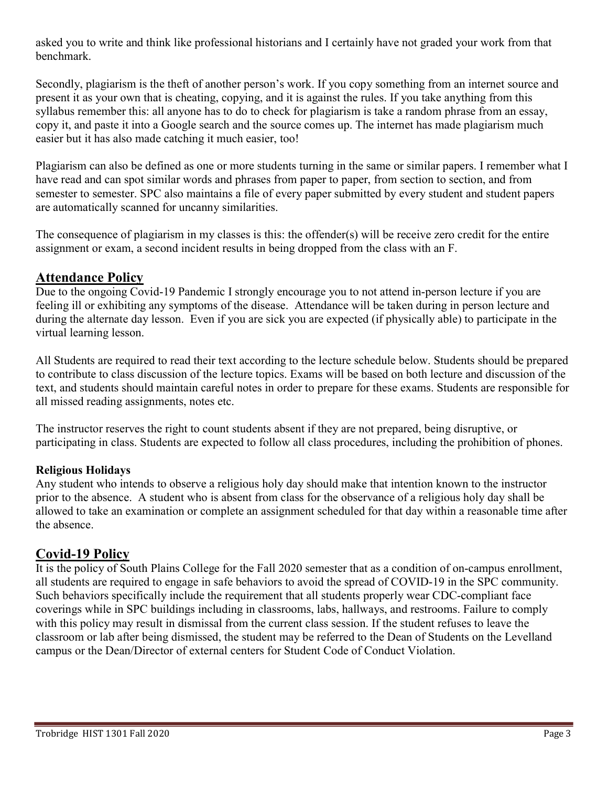asked you to write and think like professional historians and I certainly have not graded your work from that benchmark.

Secondly, plagiarism is the theft of another person's work. If you copy something from an internet source and present it as your own that is cheating, copying, and it is against the rules. If you take anything from this syllabus remember this: all anyone has to do to check for plagiarism is take a random phrase from an essay, copy it, and paste it into a Google search and the source comes up. The internet has made plagiarism much easier but it has also made catching it much easier, too!

Plagiarism can also be defined as one or more students turning in the same or similar papers. I remember what I have read and can spot similar words and phrases from paper to paper, from section to section, and from semester to semester. SPC also maintains a file of every paper submitted by every student and student papers are automatically scanned for uncanny similarities.

The consequence of plagiarism in my classes is this: the offender(s) will be receive zero credit for the entire assignment or exam, a second incident results in being dropped from the class with an F.

### Attendance Policy

Due to the ongoing Covid-19 Pandemic I strongly encourage you to not attend in-person lecture if you are feeling ill or exhibiting any symptoms of the disease. Attendance will be taken during in person lecture and during the alternate day lesson. Even if you are sick you are expected (if physically able) to participate in the virtual learning lesson.

All Students are required to read their text according to the lecture schedule below. Students should be prepared to contribute to class discussion of the lecture topics. Exams will be based on both lecture and discussion of the text, and students should maintain careful notes in order to prepare for these exams. Students are responsible for all missed reading assignments, notes etc.

The instructor reserves the right to count students absent if they are not prepared, being disruptive, or participating in class. Students are expected to follow all class procedures, including the prohibition of phones.

#### Religious Holidays

Any student who intends to observe a religious holy day should make that intention known to the instructor prior to the absence. A student who is absent from class for the observance of a religious holy day shall be allowed to take an examination or complete an assignment scheduled for that day within a reasonable time after the absence.

### Covid-19 Policy

It is the policy of South Plains College for the Fall 2020 semester that as a condition of on-campus enrollment, all students are required to engage in safe behaviors to avoid the spread of COVID-19 in the SPC community. Such behaviors specifically include the requirement that all students properly wear CDC-compliant face coverings while in SPC buildings including in classrooms, labs, hallways, and restrooms. Failure to comply with this policy may result in dismissal from the current class session. If the student refuses to leave the classroom or lab after being dismissed, the student may be referred to the Dean of Students on the Levelland campus or the Dean/Director of external centers for Student Code of Conduct Violation.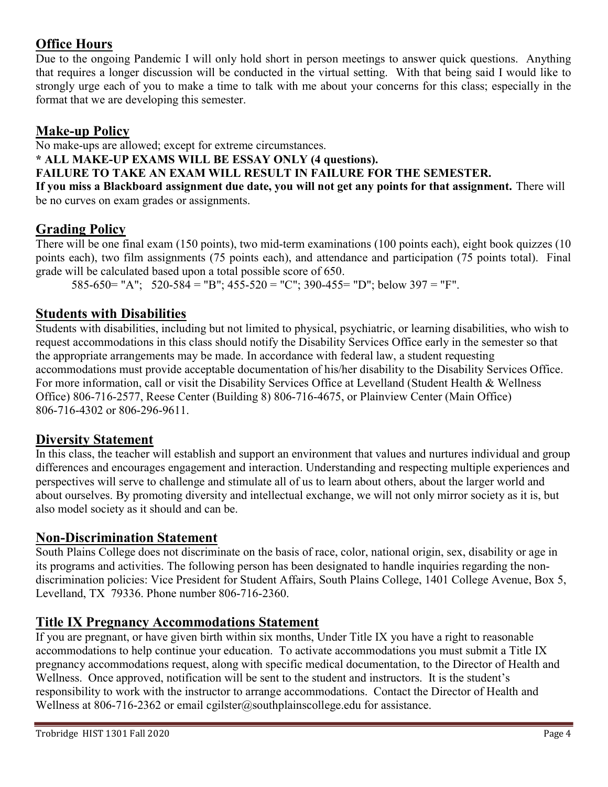# Office Hours

Due to the ongoing Pandemic I will only hold short in person meetings to answer quick questions. Anything that requires a longer discussion will be conducted in the virtual setting. With that being said I would like to strongly urge each of you to make a time to talk with me about your concerns for this class; especially in the format that we are developing this semester.

# Make-up Policy

No make-ups are allowed; except for extreme circumstances.

#### \* ALL MAKE-UP EXAMS WILL BE ESSAY ONLY (4 questions).

# FAILURE TO TAKE AN EXAM WILL RESULT IN FAILURE FOR THE SEMESTER.

If you miss a Blackboard assignment due date, you will not get any points for that assignment. There will be no curves on exam grades or assignments.

# Grading Policy

There will be one final exam (150 points), two mid-term examinations (100 points each), eight book quizzes (10 points each), two film assignments (75 points each), and attendance and participation (75 points total). Final grade will be calculated based upon a total possible score of 650.

585-650= "A"; 520-584 = "B"; 455-520 = "C"; 390-455= "D"; below 397 = "F".

# Students with Disabilities

Students with disabilities, including but not limited to physical, psychiatric, or learning disabilities, who wish to request accommodations in this class should notify the Disability Services Office early in the semester so that the appropriate arrangements may be made. In accordance with federal law, a student requesting accommodations must provide acceptable documentation of his/her disability to the Disability Services Office. For more information, call or visit the Disability Services Office at Levelland (Student Health & Wellness Office) 806-716-2577, Reese Center (Building 8) 806-716-4675, or Plainview Center (Main Office) 806-716-4302 or 806-296-9611.

# Diversity Statement

In this class, the teacher will establish and support an environment that values and nurtures individual and group differences and encourages engagement and interaction. Understanding and respecting multiple experiences and perspectives will serve to challenge and stimulate all of us to learn about others, about the larger world and about ourselves. By promoting diversity and intellectual exchange, we will not only mirror society as it is, but also model society as it should and can be.

# Non-Discrimination Statement

South Plains College does not discriminate on the basis of race, color, national origin, sex, disability or age in its programs and activities. The following person has been designated to handle inquiries regarding the nondiscrimination policies: Vice President for Student Affairs, South Plains College, 1401 College Avenue, Box 5, Levelland, TX 79336. Phone number 806-716-2360.

# Title IX Pregnancy Accommodations Statement

If you are pregnant, or have given birth within six months, Under Title IX you have a right to reasonable accommodations to help continue your education. To activate accommodations you must submit a Title IX pregnancy accommodations request, along with specific medical documentation, to the Director of Health and Wellness. Once approved, notification will be sent to the student and instructors. It is the student's responsibility to work with the instructor to arrange accommodations. Contact the Director of Health and Wellness at 806-716-2362 or email cgilster@southplainscollege.edu for assistance.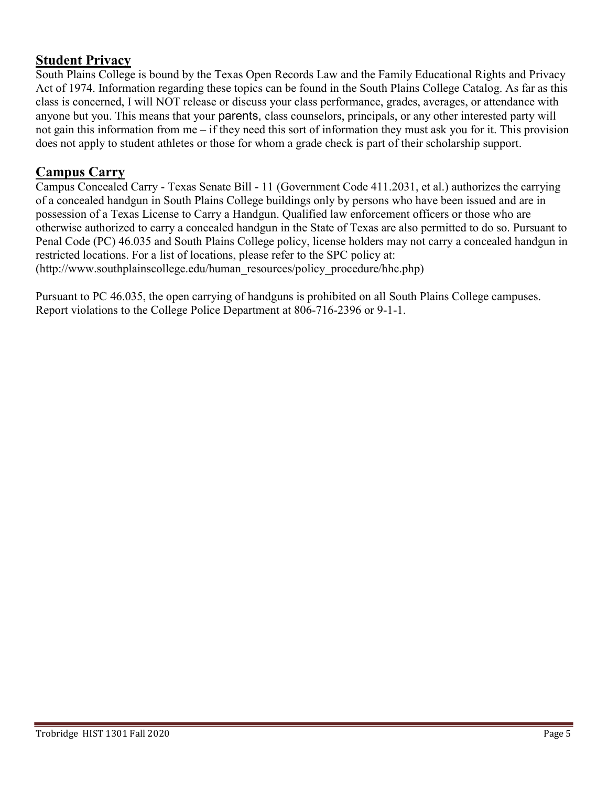### Student Privacy

South Plains College is bound by the Texas Open Records Law and the Family Educational Rights and Privacy Act of 1974. Information regarding these topics can be found in the South Plains College Catalog. As far as this class is concerned, I will NOT release or discuss your class performance, grades, averages, or attendance with anyone but you. This means that your parents, class counselors, principals, or any other interested party will not gain this information from me – if they need this sort of information they must ask you for it. This provision does not apply to student athletes or those for whom a grade check is part of their scholarship support.

# Campus Carry

Campus Concealed Carry - Texas Senate Bill - 11 (Government Code 411.2031, et al.) authorizes the carrying of a concealed handgun in South Plains College buildings only by persons who have been issued and are in possession of a Texas License to Carry a Handgun. Qualified law enforcement officers or those who are otherwise authorized to carry a concealed handgun in the State of Texas are also permitted to do so. Pursuant to Penal Code (PC) 46.035 and South Plains College policy, license holders may not carry a concealed handgun in restricted locations. For a list of locations, please refer to the SPC policy at: (http://www.southplainscollege.edu/human\_resources/policy\_procedure/hhc.php)

Pursuant to PC 46.035, the open carrying of handguns is prohibited on all South Plains College campuses. Report violations to the College Police Department at 806-716-2396 or 9-1-1.